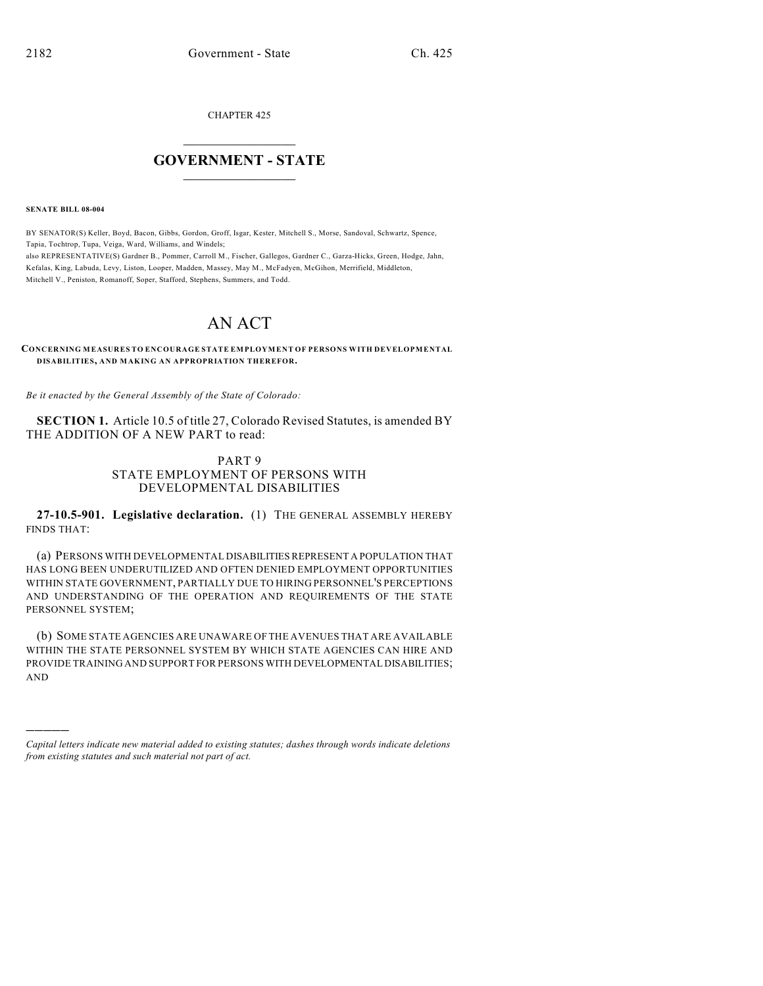CHAPTER 425

## $\mathcal{L}_\text{max}$  . The set of the set of the set of the set of the set of the set of the set of the set of the set of the set of the set of the set of the set of the set of the set of the set of the set of the set of the set **GOVERNMENT - STATE**  $\_$   $\_$   $\_$   $\_$   $\_$   $\_$   $\_$   $\_$   $\_$

**SENATE BILL 08-004**

)))))

BY SENATOR(S) Keller, Boyd, Bacon, Gibbs, Gordon, Groff, Isgar, Kester, Mitchell S., Morse, Sandoval, Schwartz, Spence, Tapia, Tochtrop, Tupa, Veiga, Ward, Williams, and Windels; also REPRESENTATIVE(S) Gardner B., Pommer, Carroll M., Fischer, Gallegos, Gardner C., Garza-Hicks, Green, Hodge, Jahn, Kefalas, King, Labuda, Levy, Liston, Looper, Madden, Massey, May M., McFadyen, McGihon, Merrifield, Middleton, Mitchell V., Peniston, Romanoff, Soper, Stafford, Stephens, Summers, and Todd.

## AN ACT

**CONCERNING MEASURES TO ENCOURAGE STATE EMPLOYMENT OF PERSONS WITH DEVELOPMENTAL DISABILITIES, AND MAKING AN APPROPRIATION THEREFOR.**

*Be it enacted by the General Assembly of the State of Colorado:*

**SECTION 1.** Article 10.5 of title 27, Colorado Revised Statutes, is amended BY THE ADDITION OF A NEW PART to read:

## PART 9 STATE EMPLOYMENT OF PERSONS WITH DEVELOPMENTAL DISABILITIES

**27-10.5-901. Legislative declaration.** (1) THE GENERAL ASSEMBLY HEREBY FINDS THAT:

(a) PERSONS WITH DEVELOPMENTAL DISABILITIES REPRESENT A POPULATION THAT HAS LONG BEEN UNDERUTILIZED AND OFTEN DENIED EMPLOYMENT OPPORTUNITIES WITHIN STATE GOVERNMENT, PARTIALLY DUE TO HIRING PERSONNEL'S PERCEPTIONS AND UNDERSTANDING OF THE OPERATION AND REQUIREMENTS OF THE STATE PERSONNEL SYSTEM;

(b) SOME STATE AGENCIES ARE UNAWARE OFTHE AVENUES THAT ARE AVAILABLE WITHIN THE STATE PERSONNEL SYSTEM BY WHICH STATE AGENCIES CAN HIRE AND PROVIDE TRAINING AND SUPPORT FOR PERSONS WITH DEVELOPMENTAL DISABILITIES; AND

*Capital letters indicate new material added to existing statutes; dashes through words indicate deletions from existing statutes and such material not part of act.*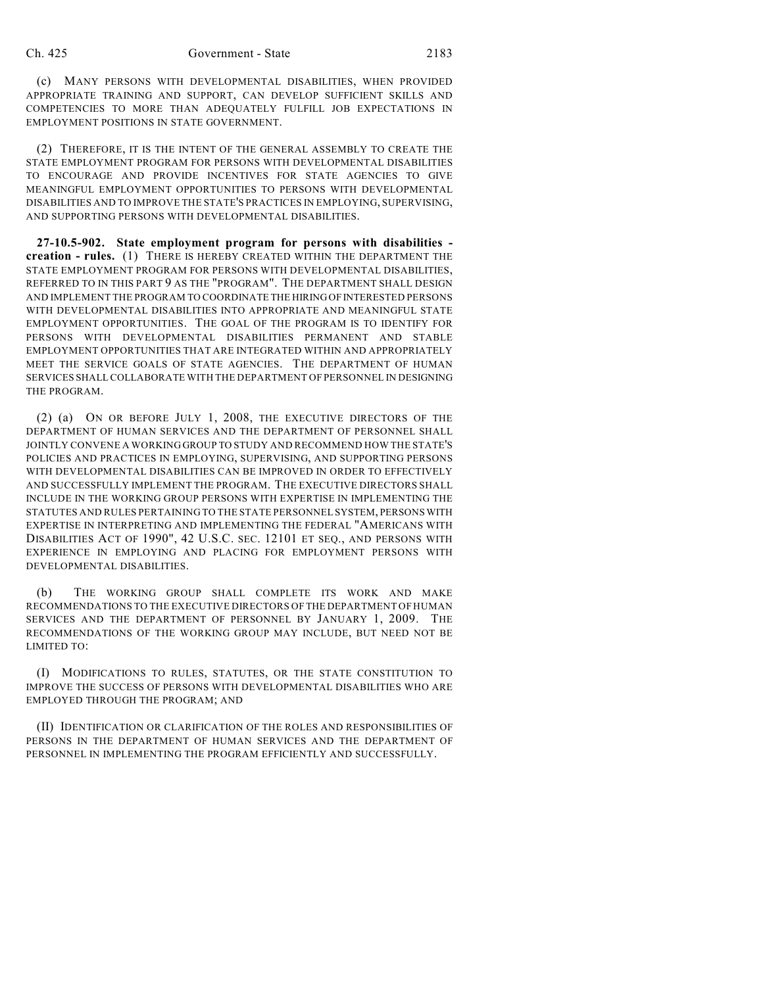(c) MANY PERSONS WITH DEVELOPMENTAL DISABILITIES, WHEN PROVIDED APPROPRIATE TRAINING AND SUPPORT, CAN DEVELOP SUFFICIENT SKILLS AND COMPETENCIES TO MORE THAN ADEQUATELY FULFILL JOB EXPECTATIONS IN EMPLOYMENT POSITIONS IN STATE GOVERNMENT.

(2) THEREFORE, IT IS THE INTENT OF THE GENERAL ASSEMBLY TO CREATE THE STATE EMPLOYMENT PROGRAM FOR PERSONS WITH DEVELOPMENTAL DISABILITIES TO ENCOURAGE AND PROVIDE INCENTIVES FOR STATE AGENCIES TO GIVE MEANINGFUL EMPLOYMENT OPPORTUNITIES TO PERSONS WITH DEVELOPMENTAL DISABILITIES AND TO IMPROVE THE STATE'S PRACTICES IN EMPLOYING, SUPERVISING, AND SUPPORTING PERSONS WITH DEVELOPMENTAL DISABILITIES.

**27-10.5-902. State employment program for persons with disabilities creation - rules.** (1) THERE IS HEREBY CREATED WITHIN THE DEPARTMENT THE STATE EMPLOYMENT PROGRAM FOR PERSONS WITH DEVELOPMENTAL DISABILITIES, REFERRED TO IN THIS PART 9 AS THE "PROGRAM". THE DEPARTMENT SHALL DESIGN AND IMPLEMENT THE PROGRAM TO COORDINATE THE HIRING OF INTERESTED PERSONS WITH DEVELOPMENTAL DISABILITIES INTO APPROPRIATE AND MEANINGFUL STATE EMPLOYMENT OPPORTUNITIES. THE GOAL OF THE PROGRAM IS TO IDENTIFY FOR PERSONS WITH DEVELOPMENTAL DISABILITIES PERMANENT AND STABLE EMPLOYMENT OPPORTUNITIES THAT ARE INTEGRATED WITHIN AND APPROPRIATELY MEET THE SERVICE GOALS OF STATE AGENCIES. THE DEPARTMENT OF HUMAN SERVICES SHALL COLLABORATE WITH THE DEPARTMENT OF PERSONNEL IN DESIGNING THE PROGRAM.

(2) (a) ON OR BEFORE JULY 1, 2008, THE EXECUTIVE DIRECTORS OF THE DEPARTMENT OF HUMAN SERVICES AND THE DEPARTMENT OF PERSONNEL SHALL JOINTLY CONVENE A WORKING GROUP TO STUDY AND RECOMMEND HOW THE STATE'S POLICIES AND PRACTICES IN EMPLOYING, SUPERVISING, AND SUPPORTING PERSONS WITH DEVELOPMENTAL DISABILITIES CAN BE IMPROVED IN ORDER TO EFFECTIVELY AND SUCCESSFULLY IMPLEMENT THE PROGRAM. THE EXECUTIVE DIRECTORS SHALL INCLUDE IN THE WORKING GROUP PERSONS WITH EXPERTISE IN IMPLEMENTING THE STATUTES AND RULES PERTAINING TO THE STATE PERSONNEL SYSTEM, PERSONS WITH EXPERTISE IN INTERPRETING AND IMPLEMENTING THE FEDERAL "AMERICANS WITH DISABILITIES ACT OF 1990", 42 U.S.C. SEC. 12101 ET SEQ., AND PERSONS WITH EXPERIENCE IN EMPLOYING AND PLACING FOR EMPLOYMENT PERSONS WITH DEVELOPMENTAL DISABILITIES.

(b) THE WORKING GROUP SHALL COMPLETE ITS WORK AND MAKE RECOMMENDATIONS TO THE EXECUTIVE DIRECTORS OF THE DEPARTMENT OF HUMAN SERVICES AND THE DEPARTMENT OF PERSONNEL BY JANUARY 1, 2009. THE RECOMMENDATIONS OF THE WORKING GROUP MAY INCLUDE, BUT NEED NOT BE LIMITED TO:

(I) MODIFICATIONS TO RULES, STATUTES, OR THE STATE CONSTITUTION TO IMPROVE THE SUCCESS OF PERSONS WITH DEVELOPMENTAL DISABILITIES WHO ARE EMPLOYED THROUGH THE PROGRAM; AND

(II) IDENTIFICATION OR CLARIFICATION OF THE ROLES AND RESPONSIBILITIES OF PERSONS IN THE DEPARTMENT OF HUMAN SERVICES AND THE DEPARTMENT OF PERSONNEL IN IMPLEMENTING THE PROGRAM EFFICIENTLY AND SUCCESSFULLY.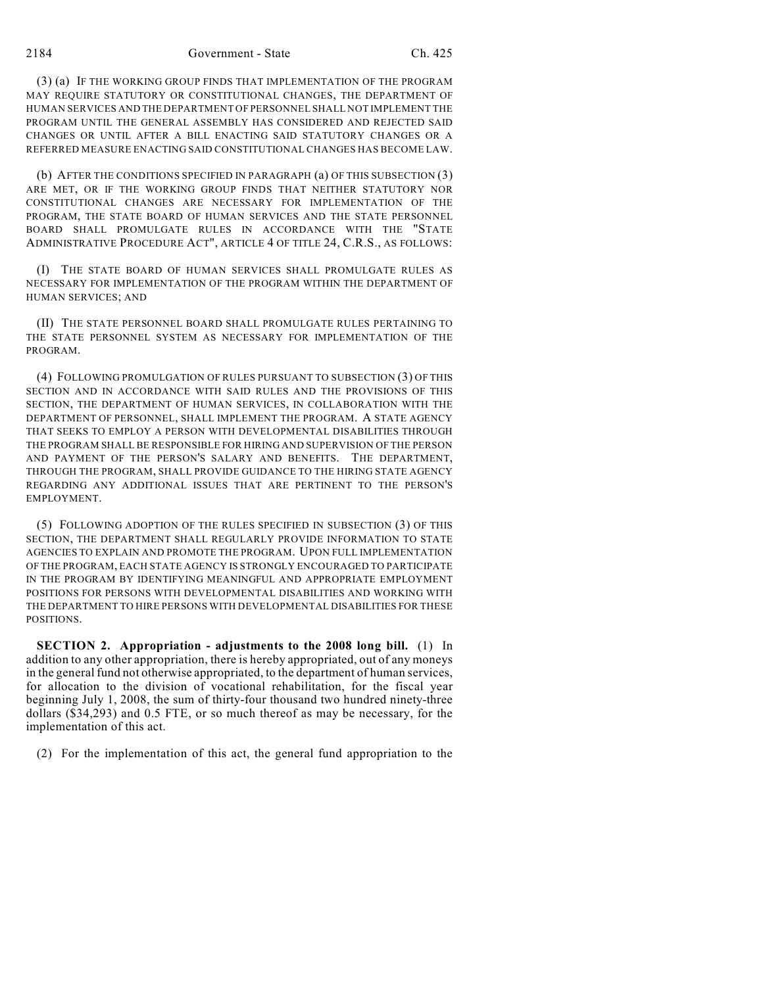(3) (a) IF THE WORKING GROUP FINDS THAT IMPLEMENTATION OF THE PROGRAM MAY REQUIRE STATUTORY OR CONSTITUTIONAL CHANGES, THE DEPARTMENT OF HUMAN SERVICES AND THE DEPARTMENT OF PERSONNEL SHALL NOT IMPLEMENT THE PROGRAM UNTIL THE GENERAL ASSEMBLY HAS CONSIDERED AND REJECTED SAID CHANGES OR UNTIL AFTER A BILL ENACTING SAID STATUTORY CHANGES OR A REFERRED MEASURE ENACTING SAID CONSTITUTIONAL CHANGES HAS BECOME LAW.

(b) AFTER THE CONDITIONS SPECIFIED IN PARAGRAPH (a) OF THIS SUBSECTION (3) ARE MET, OR IF THE WORKING GROUP FINDS THAT NEITHER STATUTORY NOR CONSTITUTIONAL CHANGES ARE NECESSARY FOR IMPLEMENTATION OF THE PROGRAM, THE STATE BOARD OF HUMAN SERVICES AND THE STATE PERSONNEL BOARD SHALL PROMULGATE RULES IN ACCORDANCE WITH THE "STATE ADMINISTRATIVE PROCEDURE ACT", ARTICLE 4 OF TITLE 24, C.R.S., AS FOLLOWS:

(I) THE STATE BOARD OF HUMAN SERVICES SHALL PROMULGATE RULES AS NECESSARY FOR IMPLEMENTATION OF THE PROGRAM WITHIN THE DEPARTMENT OF HUMAN SERVICES; AND

(II) THE STATE PERSONNEL BOARD SHALL PROMULGATE RULES PERTAINING TO THE STATE PERSONNEL SYSTEM AS NECESSARY FOR IMPLEMENTATION OF THE PROGRAM.

(4) FOLLOWING PROMULGATION OF RULES PURSUANT TO SUBSECTION (3) OF THIS SECTION AND IN ACCORDANCE WITH SAID RULES AND THE PROVISIONS OF THIS SECTION, THE DEPARTMENT OF HUMAN SERVICES, IN COLLABORATION WITH THE DEPARTMENT OF PERSONNEL, SHALL IMPLEMENT THE PROGRAM. A STATE AGENCY THAT SEEKS TO EMPLOY A PERSON WITH DEVELOPMENTAL DISABILITIES THROUGH THE PROGRAM SHALL BE RESPONSIBLE FOR HIRING AND SUPERVISION OF THE PERSON AND PAYMENT OF THE PERSON'S SALARY AND BENEFITS. THE DEPARTMENT, THROUGH THE PROGRAM, SHALL PROVIDE GUIDANCE TO THE HIRING STATE AGENCY REGARDING ANY ADDITIONAL ISSUES THAT ARE PERTINENT TO THE PERSON'S EMPLOYMENT.

(5) FOLLOWING ADOPTION OF THE RULES SPECIFIED IN SUBSECTION (3) OF THIS SECTION, THE DEPARTMENT SHALL REGULARLY PROVIDE INFORMATION TO STATE AGENCIES TO EXPLAIN AND PROMOTE THE PROGRAM. UPON FULL IMPLEMENTATION OF THE PROGRAM, EACH STATE AGENCY IS STRONGLY ENCOURAGED TO PARTICIPATE IN THE PROGRAM BY IDENTIFYING MEANINGFUL AND APPROPRIATE EMPLOYMENT POSITIONS FOR PERSONS WITH DEVELOPMENTAL DISABILITIES AND WORKING WITH THE DEPARTMENT TO HIRE PERSONS WITH DEVELOPMENTAL DISABILITIES FOR THESE POSITIONS.

**SECTION 2. Appropriation - adjustments to the 2008 long bill.** (1) In addition to any other appropriation, there is hereby appropriated, out of any moneys in the general fund not otherwise appropriated, to the department of human services, for allocation to the division of vocational rehabilitation, for the fiscal year beginning July 1, 2008, the sum of thirty-four thousand two hundred ninety-three dollars (\$34,293) and 0.5 FTE, or so much thereof as may be necessary, for the implementation of this act.

(2) For the implementation of this act, the general fund appropriation to the